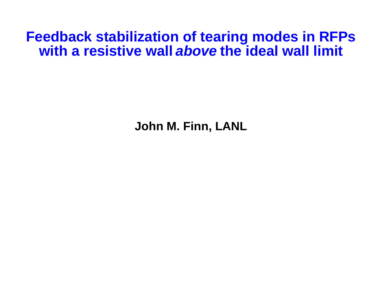# **Feedback stabilization of tearing modes in RFPs with a resistive wall above the ideal wall limit**

**John M. Finn, LANL**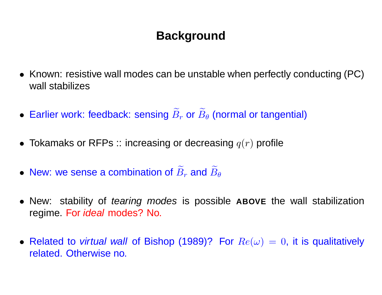## **Background**

- Known: resistive wall modes can be unstable when perfectly conducting (PC) wall stabilizes
- Earlier work: feedback: sensing  $\widetilde{B}$  $r_r$  or  $\widetilde{B}$  $_{\theta}$  (normal or tangential)
- $\bullet \,$  Tokamaks or RFPs :: increasing or decreasing  $q(r)$  profile
- New: we sense a combination of  $\widetilde{B}$  $r$  and  $\widetilde{B}$  $\bm{\mathsf{D}}\bm{\theta}$
- New: stability of tearing modes is possible **ABOVE** the wall stabilization regime. For ideal modes? No.
- Related to *virtual wall* of Bishop (1989)? For  $Re(\omega) = 0$ , it is qualitatively related. Otherwise no.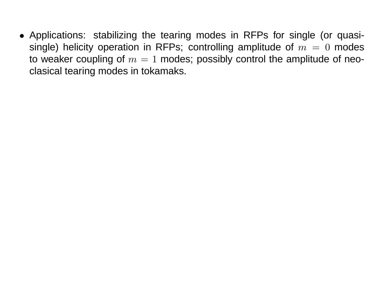• Applications: stabilizing the tearing modes in RFPs for single (or quasisingle) helicity operation in RFPs; controlling amplitude of  $m = 0$  modes to weaker coupling of  $m = 1$  modes; possibly control the amplitude of neoclasical tearing modes in tokamaks.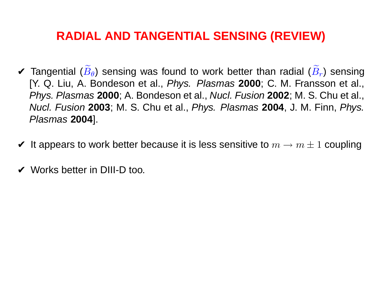### **RADIAL AND TANGENTIAL SENSING (REVIEW)**

- $\boldsymbol{\nu}$  Tangential ( $\widetilde{B}$  $_{\theta}$ ) sensing was found to work better than radial ( $\widetilde{B}$  $_{r})$  sensing [Y. Q. Liu, A. Bondeson et al., Phys. Plasmas **2000**; C. M. Fransson et al., Phys. Plasmas **2000**; A. Bondeson et al., Nucl. Fusion **2002**; M. S. Chu et al., Nucl. Fusion **2003**; M. S. Chu et al., Phys. Plasmas **2004**, J. M. Finn, Phys. Plasmas **2004**].
- $\blacktriangleright$  It appears to work better because it is less sensitive to  $m \to m \pm 1$  coupling
- ✔ Works better in DIII-D too.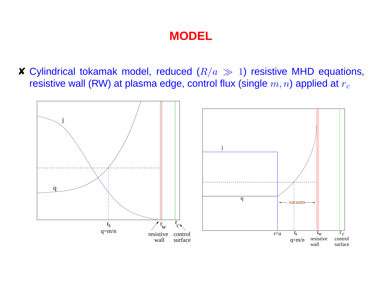# **MODEL**

**X** Cylindrical tokamak model, reduced  $(R/a \gg 1)$  resistive MHD equations, resistive wall (RW) at plasma edge, control flux (single  $m, n$ ) applied at  $r_c$ 

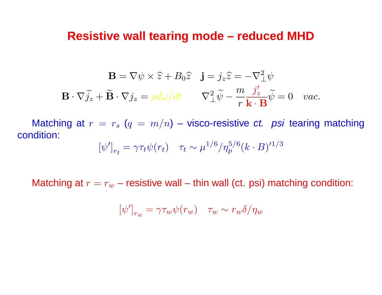#### **Resistive wall tearing mode – reduced MHD**

$$
\mathbf{B} = \nabla \psi \times \hat{z} + B_0 \hat{z} \quad \mathbf{j} = j_z \hat{z} = -\nabla^2_{\perp} \psi
$$

$$
\mathbf{B} \cdot \nabla \tilde{j}_z + \tilde{\mathbf{B}} \cdot \nabla j_z = \rho d\omega/dt \qquad \nabla^2_{\perp} \tilde{\psi} - \frac{m}{r} \frac{j'_z}{\mathbf{k} \cdot \mathbf{B}} \tilde{\psi} = 0 \quad vac.
$$

Matching at  $r = r_s$  ( $q = m/n$ ) – visco-resistive *ct.* psi tearing matching condition:

$$
[\psi']_{r_t} = \gamma \tau_t \psi(r_t) \quad \tau_t \sim \mu^{1/6} / \eta_p^{5/6} (k \cdot B)^{1/3}
$$

Matching at  $r = r_w$  – resistive wall – thin wall (ct. psi) matching condition:

$$
[\psi']_{r_w} = \gamma \tau_w \psi(r_w) \quad \tau_w \sim r_w \delta / \eta_w
$$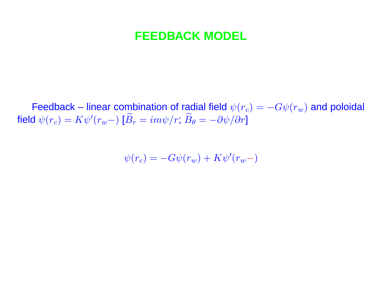### **FEEDBACK MODEL**

Feedback – linear combination of radial field  $\psi(r_c) = -G\psi(r_w)$  and poloidal field  $\psi(r_c) = K \psi'(r_w-)$  [ $\widetilde{B}$  $r = i m \psi / r; \, \widetilde{B}$  $\theta = -\partial \psi/\partial r$ ]

$$
\psi(r_c) = -G\psi(r_w) + K\psi'(r_w-)
$$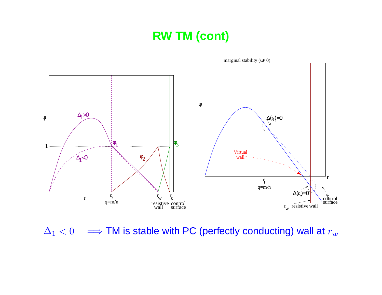### **RW TM (cont)**



 $\Delta_1 < 0 \implies$  TM is stable with PC (perfectly conducting) wall at  $r_w$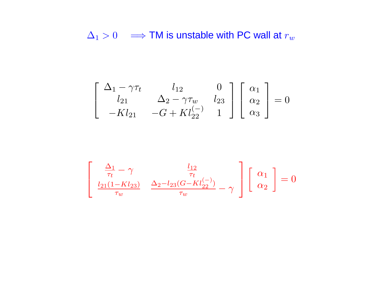$\Delta_1 > 0$  =  $\Rightarrow$  TM is unstable with PC wall at  $r_w$ 

$$
\begin{bmatrix}\n\Delta_1 - \gamma \tau_t & l_{12} & 0 \\
l_{21} & \Delta_2 - \gamma \tau_w & l_{23} \\
-Kl_{21} & -G + Kl_{22}^{(-)} & 1\n\end{bmatrix}\n\begin{bmatrix}\n\alpha_1 \\
\alpha_2 \\
\alpha_3\n\end{bmatrix} = 0
$$

$$
\begin{bmatrix}\n\frac{\Delta_1}{\tau_t} - \gamma & \frac{l_{12}}{\tau_t} \\
\frac{l_{21}(1 - Kl_{23})}{\tau_w} & \frac{\Delta_2 - l_{23}(G - Kl_{22}^{(-)})}{\tau_w} - \gamma\n\end{bmatrix}\n\begin{bmatrix}\n\alpha_1 \\
\alpha_2\n\end{bmatrix} = 0
$$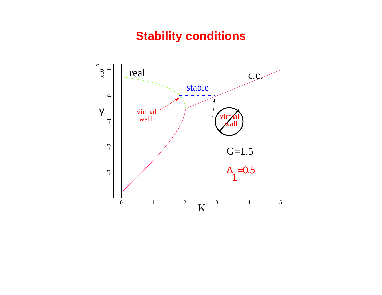### **Stability conditions**

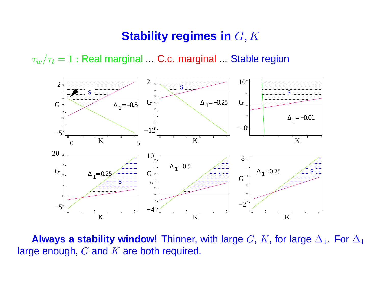### **Stability regimes in** G, K

 $\tau_w/\tau_t = 1$  : Real marginal ... C.c. marginal ... Stable region



**Always a stability window!** Thinner, with large G, K, for large  $\Delta_1$ . For  $\Delta_1$ large enough,  $G$  and  $K$  are both required.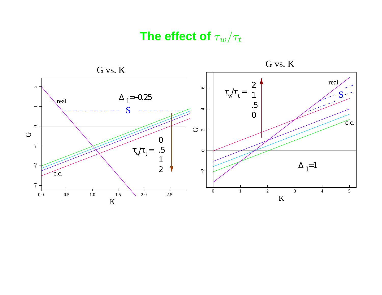# **The effect of**  $\tau_w/\tau_t$

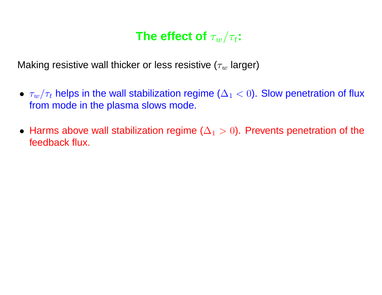# **The effect of**  $\tau_w/\tau_t$ :

Making resistive wall thicker or less resistive ( $\tau_w$  larger)

- $\bullet~~ \tau_w/\tau_t$  helps in the wall stabilization regime ( $\Delta_1 < 0$ ). Slow penetration of flux from mode in the plasma slows mode.
- $\bullet\,$  Harms above wall stabilization regime  $(\Delta_1>0).$  Prevents penetration of the feedback flux.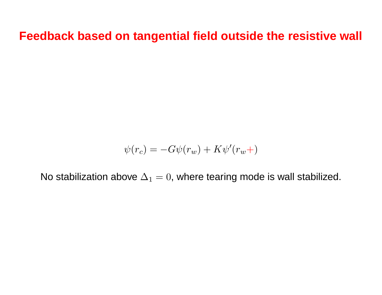**Feedback based on tangential field outside the resistive wall**

$$
\psi(r_c) = -G\psi(r_w) + K\psi'(r_w+)
$$

No stabilization above  $\Delta_1 = 0$ , where tearing mode is wall stabilized.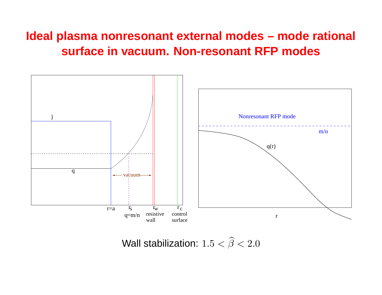### **Ideal plasma nonresonant external modes – mode rational surface in vacuum. Non-resonant RFP modes**



Wall stabilization:  $1.5 < \widehat{\beta}$  $\beta < 2.0$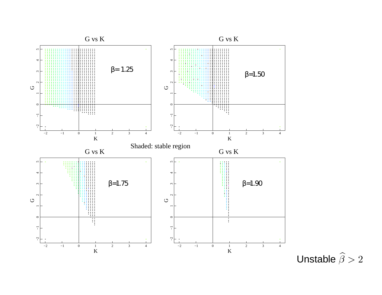

Unstable  $\widehat{\beta}$  $\beta > 2$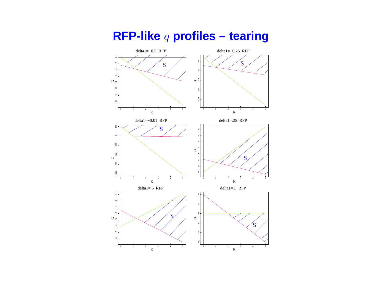

### **RFP-like** <sup>q</sup> **profiles – tearing**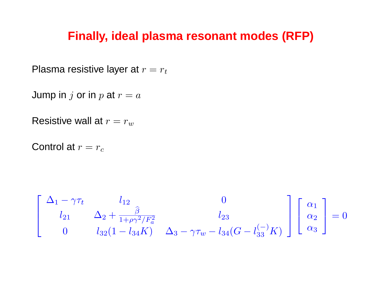### **Finally, ideal plasma resonant modes (RFP)**

Plasma resistive layer at  $r = r_t$ 

Jump in j or in p at  $r = a$ 

Resistive wall at  $r = r_w$ 

Control at  $r = r_c$ 

$$
\begin{bmatrix}\n\Delta_1 - \gamma \tau_t & l_{12} & 0 \\
l_{21} & \Delta_2 + \frac{\hat{\beta}}{1 + \rho \gamma^2 / F_a^2} & l_{23} \\
0 & l_{32} (1 - l_{34} K) & \Delta_3 - \gamma \tau_w - l_{34} (G - l_{33}^{(-)} K)\n\end{bmatrix}\n\begin{bmatrix}\n\alpha_1 \\
\alpha_2 \\
\alpha_3\n\end{bmatrix} = 0
$$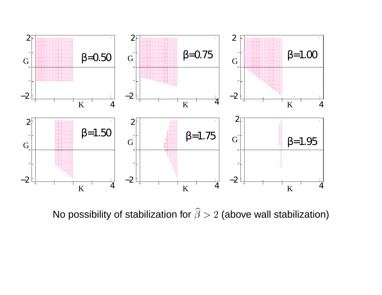

No possibility of stabilization for  $\widehat{\beta}$  $> 2$  (above wall stabilization)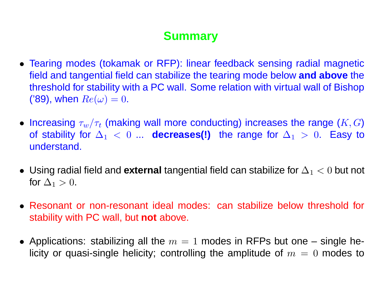# **Summary**

- Tearing modes (tokamak or RFP): linear feedback sensing radial magnetic field and tangential field can stabilize the tearing mode below **and above** the threshold for stability with <sup>a</sup> PC wall. Some relation with virtual wall of Bishop ('89), when  $Re(\omega) = 0$ .
- $\bullet$  Increasing  $\tau_w/\tau_t$  (making wall more conducting) increases the range  $(K,G)$ of stability for  $\Delta_1 < 0$  ... **decreases(!)** the range for  $\Delta_1 > 0$ . Easy to understand.
- Using radial field and **external** tangential field can stabilize for ∆<sup>1</sup> <sup>&</sup>lt; 0 but not for  $\Delta_1 > 0$ .
- Resonant or non-resonant ideal modes: can stabilize below threshold for stability with PC wall, but **not** above.
- $\bullet$  Applications: stabilizing all the  $m=1$  modes in RFPs but one single helicity or quasi-single helicity; controlling the amplitude of  $m = 0$  modes to